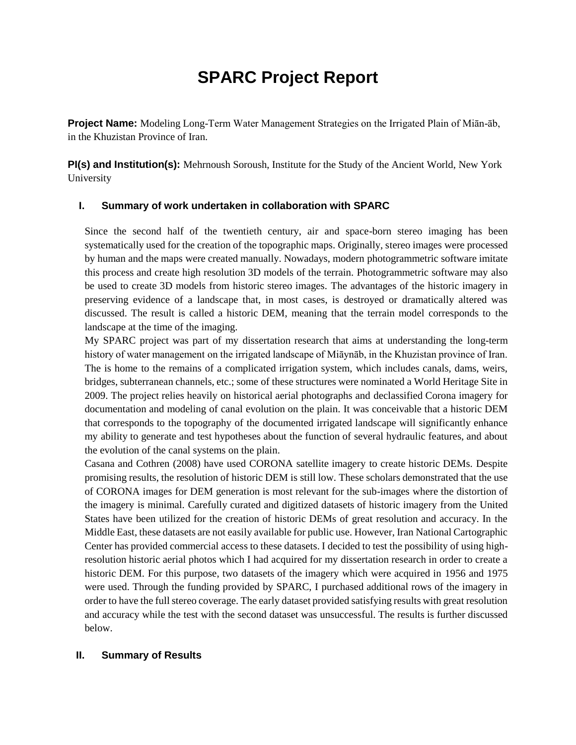# **SPARC Project Report**

**Project Name:** Modeling Long-Term Water Management Strategies on the Irrigated Plain of Miān-āb, in the Khuzistan Province of Iran.

**PI(s) and Institution(s):** Mehrnoush Soroush, Institute for the Study of the Ancient World, New York University

#### **I. Summary of work undertaken in collaboration with SPARC**

Since the second half of the twentieth century, air and space-born stereo imaging has been systematically used for the creation of the topographic maps. Originally, stereo images were processed by human and the maps were created manually. Nowadays, modern photogrammetric software imitate this process and create high resolution 3D models of the terrain. Photogrammetric software may also be used to create 3D models from historic stereo images. The advantages of the historic imagery in preserving evidence of a landscape that, in most cases, is destroyed or dramatically altered was discussed. The result is called a historic DEM, meaning that the terrain model corresponds to the landscape at the time of the imaging.

My SPARC project was part of my dissertation research that aims at understanding the long-term history of water management on the irrigated landscape of Miāynāb, in the Khuzistan province of Iran. The is home to the remains of a complicated irrigation system, which includes canals, dams, weirs, bridges, subterranean channels, etc.; some of these structures were nominated a World Heritage Site in 2009. The project relies heavily on historical aerial photographs and declassified Corona imagery for documentation and modeling of canal evolution on the plain. It was conceivable that a historic DEM that corresponds to the topography of the documented irrigated landscape will significantly enhance my ability to generate and test hypotheses about the function of several hydraulic features, and about the evolution of the canal systems on the plain.

Casana and Cothren (2008) have used CORONA satellite imagery to create historic DEMs. Despite promising results, the resolution of historic DEM is still low. These scholars demonstrated that the use of CORONA images for DEM generation is most relevant for the sub-images where the distortion of the imagery is minimal. Carefully curated and digitized datasets of historic imagery from the United States have been utilized for the creation of historic DEMs of great resolution and accuracy. In the Middle East, these datasets are not easily available for public use. However, Iran National Cartographic Center has provided commercial access to these datasets. I decided to test the possibility of using highresolution historic aerial photos which I had acquired for my dissertation research in order to create a historic DEM. For this purpose, two datasets of the imagery which were acquired in 1956 and 1975 were used. Through the funding provided by SPARC, I purchased additional rows of the imagery in order to have the full stereo coverage. The early dataset provided satisfying results with great resolution and accuracy while the test with the second dataset was unsuccessful. The results is further discussed below.

## **II. Summary of Results**